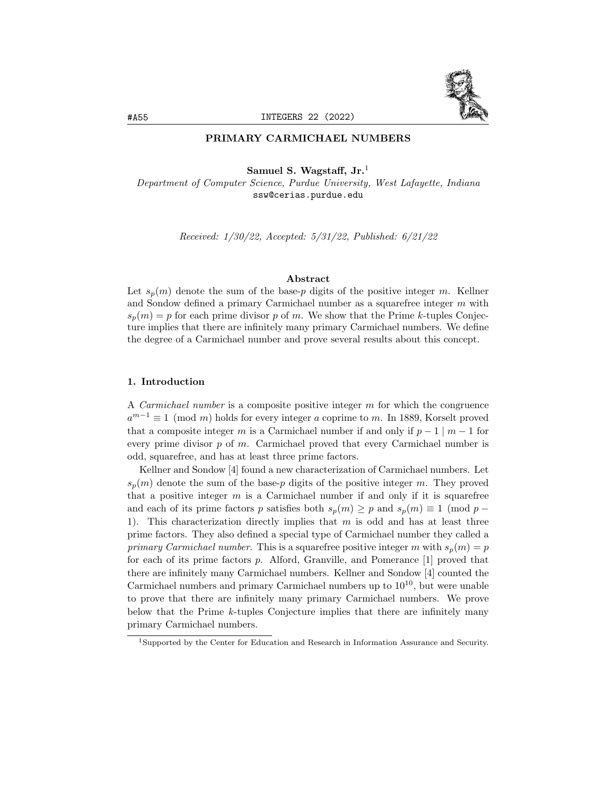## PRIMARY CARMICHAEL NUMBERS

Samuel S. Wagstaff, Jr.<sup>1</sup>

Department of Computer Science, Purdue University, West Lafayette, Indiana ssw@cerias.purdue.edu

Received: 1/30/22, Accepted: 5/31/22, Published: 6/21/22

### Abstract

Let  $s_p(m)$  denote the sum of the base-p digits of the positive integer m. Kellner and Sondow defined a primary Carmichael number as a squarefree integer  $m$  with  $s_p(m) = p$  for each prime divisor p of m. We show that the Prime k-tuples Conjecture implies that there are infinitely many primary Carmichael numbers. We define the degree of a Carmichael number and prove several results about this concept.

# 1. Introduction

A *Carmichael number* is a composite positive integer  $m$  for which the congruence  $a^{m-1} \equiv 1 \pmod{m}$  holds for every integer a coprime to m. In 1889, Korselt proved that a composite integer m is a Carmichael number if and only if  $p-1 \mid m-1$  for every prime divisor  $p$  of  $m$ . Carmichael proved that every Carmichael number is odd, squarefree, and has at least three prime factors.

Kellner and Sondow [4] found a new characterization of Carmichael numbers. Let  $s_p(m)$  denote the sum of the base-p digits of the positive integer m. They proved that a positive integer  $m$  is a Carmichael number if and only if it is squarefree and each of its prime factors p satisfies both  $s_p(m) \geq p$  and  $s_p(m) \equiv 1 \pmod{p-1}$ 1). This characterization directly implies that  $m$  is odd and has at least three prime factors. They also defined a special type of Carmichael number they called a primary Carmichael number. This is a squarefree positive integer m with  $s_p(m) = p$ for each of its prime factors  $p$ . Alford, Granville, and Pomerance  $[1]$  proved that there are infinitely many Carmichael numbers. Kellner and Sondow [4] counted the Carmichael numbers and primary Carmichael numbers up to  $10^{10}$ , but were unable to prove that there are infinitely many primary Carmichael numbers. We prove below that the Prime k-tuples Conjecture implies that there are infinitely many primary Carmichael numbers.

<sup>1</sup>Supported by the Center for Education and Research in Information Assurance and Security.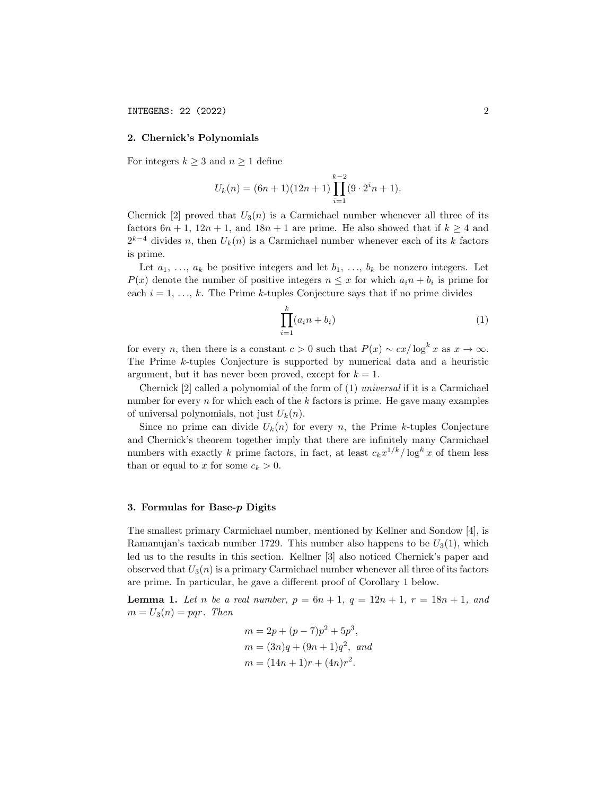### 2. Chernick's Polynomials

For integers  $k \geq 3$  and  $n \geq 1$  define

$$
U_k(n) = (6n + 1)(12n + 1)\prod_{i=1}^{k-2} (9 \cdot 2^i n + 1).
$$

Chernick [2] proved that  $U_3(n)$  is a Carmichael number whenever all three of its factors  $6n + 1$ ,  $12n + 1$ , and  $18n + 1$  are prime. He also showed that if  $k \ge 4$  and  $2^{k-4}$  divides n, then  $U_k(n)$  is a Carmichael number whenever each of its k factors is prime.

Let  $a_1, \ldots, a_k$  be positive integers and let  $b_1, \ldots, b_k$  be nonzero integers. Let  $P(x)$  denote the number of positive integers  $n \leq x$  for which  $a_i n + b_i$  is prime for each  $i = 1, \ldots, k$ . The Prime k-tuples Conjecture says that if no prime divides

$$
\prod_{i=1}^{k} (a_i n + b_i)
$$
 (1)

for every n, then there is a constant  $c > 0$  such that  $P(x) \sim cx/\log^k x$  as  $x \to \infty$ . The Prime k-tuples Conjecture is supported by numerical data and a heuristic argument, but it has never been proved, except for  $k = 1$ .

Chernick [2] called a polynomial of the form of (1) universal if it is a Carmichael number for every  $n$  for which each of the  $k$  factors is prime. He gave many examples of universal polynomials, not just  $U_k(n)$ .

Since no prime can divide  $U_k(n)$  for every n, the Prime k-tuples Conjecture and Chernick's theorem together imply that there are infinitely many Carmichael numbers with exactly k prime factors, in fact, at least  $c_k x^{1/k} / \log^k x$  of them less than or equal to x for some  $c_k > 0$ .

## 3. Formulas for Base-p Digits

The smallest primary Carmichael number, mentioned by Kellner and Sondow [4], is Ramanujan's taxicab number 1729. This number also happens to be  $U_3(1)$ , which led us to the results in this section. Kellner [3] also noticed Chernick's paper and observed that  $U_3(n)$  is a primary Carmichael number whenever all three of its factors are prime. In particular, he gave a different proof of Corollary 1 below.

**Lemma 1.** Let n be a real number,  $p = 6n + 1$ ,  $q = 12n + 1$ ,  $r = 18n + 1$ , and  $m = U_3(n) = pqr$ . Then

$$
m = 2p + (p - 7)p^{2} + 5p^{3},
$$
  
\n
$$
m = (3n)q + (9n + 1)q^{2}, and
$$
  
\n
$$
m = (14n + 1)r + (4n)r^{2}.
$$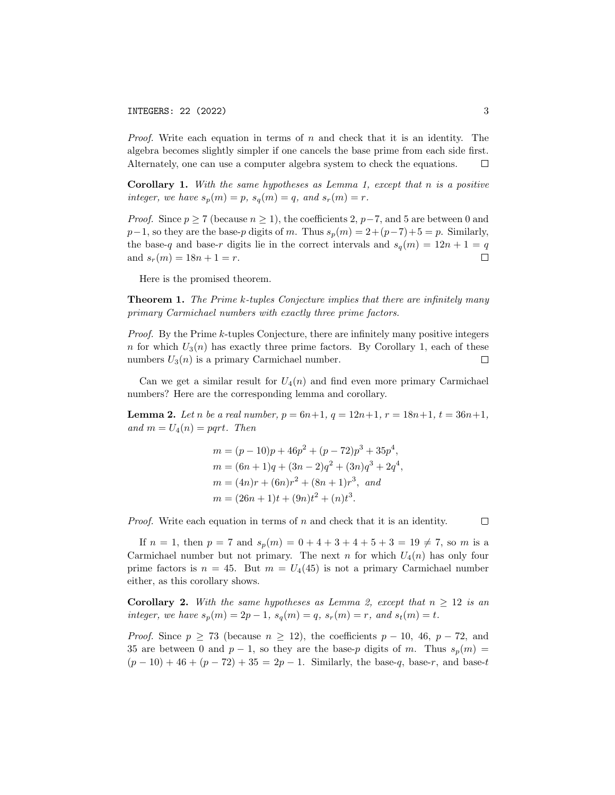*Proof.* Write each equation in terms of  $n$  and check that it is an identity. The algebra becomes slightly simpler if one cancels the base prime from each side first. Alternately, one can use a computer algebra system to check the equations.  $\Box$ 

Corollary 1. With the same hypotheses as Lemma 1, except that n is a positive integer, we have  $s_p(m) = p$ ,  $s_q(m) = q$ , and  $s_r(m) = r$ .

*Proof.* Since  $p \ge 7$  (because  $n \ge 1$ ), the coefficients 2,  $p-7$ , and 5 are between 0 and  $p-1$ , so they are the base-p digits of m. Thus  $s_p(m) = 2+(p-7)+5 = p$ . Similarly, the base-q and base-r digits lie in the correct intervals and  $s_q(m) = 12n + 1 = q$ and  $s_r(m) = 18n + 1 = r$ .  $\Box$ 

Here is the promised theorem.

**Theorem 1.** The Prime k-tuples Conjecture implies that there are infinitely many primary Carmichael numbers with exactly three prime factors.

Proof. By the Prime k-tuples Conjecture, there are infinitely many positive integers n for which  $U_3(n)$  has exactly three prime factors. By Corollary 1, each of these numbers  $U_3(n)$  is a primary Carmichael number.  $\Box$ 

Can we get a similar result for  $U_4(n)$  and find even more primary Carmichael numbers? Here are the corresponding lemma and corollary.

**Lemma 2.** Let n be a real number,  $p = 6n+1$ ,  $q = 12n+1$ ,  $r = 18n+1$ ,  $t = 36n+1$ , and  $m = U_4(n) = pqrt$ . Then

$$
m = (p - 10)p + 46p^{2} + (p - 72)p^{3} + 35p^{4},
$$
  
\n
$$
m = (6n + 1)q + (3n - 2)q^{2} + (3n)q^{3} + 2q^{4},
$$
  
\n
$$
m = (4n)r + (6n)r^{2} + (8n + 1)r^{3}, and
$$
  
\n
$$
m = (26n + 1)t + (9n)t^{2} + (n)t^{3}.
$$

*Proof.* Write each equation in terms of  $n$  and check that it is an identity.

 $\Box$ 

If  $n = 1$ , then  $p = 7$  and  $s_p(m) = 0 + 4 + 3 + 4 + 5 + 3 = 19 \neq 7$ , so m is a Carmichael number but not primary. The next n for which  $U_4(n)$  has only four prime factors is  $n = 45$ . But  $m = U_4(45)$  is not a primary Carmichael number either, as this corollary shows.

**Corollary 2.** With the same hypotheses as Lemma 2, except that  $n \geq 12$  is an integer, we have  $s_p(m) = 2p - 1$ ,  $s_q(m) = q$ ,  $s_r(m) = r$ , and  $s_t(m) = t$ .

*Proof.* Since  $p \ge 73$  (because  $n \ge 12$ ), the coefficients  $p - 10$ , 46,  $p - 72$ , and 35 are between 0 and  $p-1$ , so they are the base-p digits of m. Thus  $s_p(m)$  =  $(p-10) + 46 + (p-72) + 35 = 2p - 1$ . Similarly, the base-q, base-r, and base-t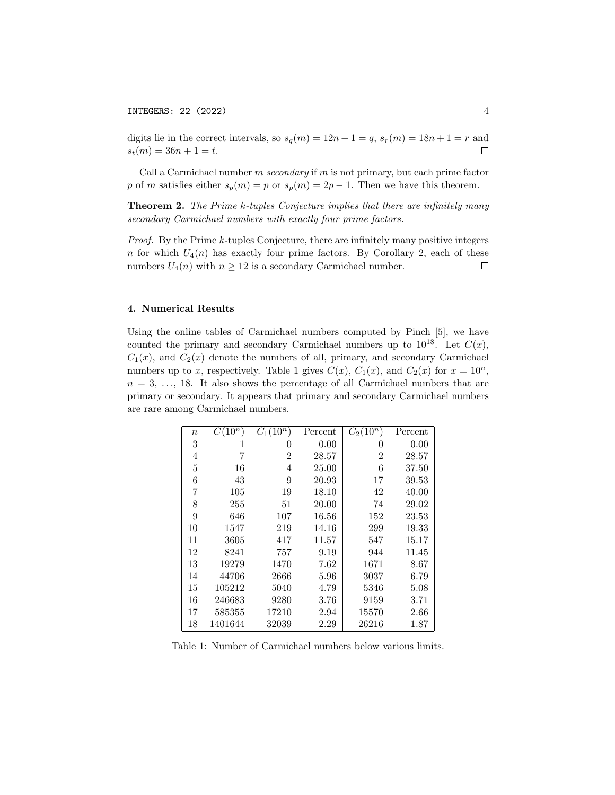digits lie in the correct intervals, so  $s_q(m) = 12n + 1 = q$ ,  $s_r(m) = 18n + 1 = r$  and  $s_t(m) = 36n + 1 = t.$  $\Box$ 

Call a Carmichael number  $m$  secondary if  $m$  is not primary, but each prime factor p of m satisfies either  $s_p(m) = p$  or  $s_p(m) = 2p - 1$ . Then we have this theorem.

Theorem 2. The Prime k-tuples Conjecture implies that there are infinitely many secondary Carmichael numbers with exactly four prime factors.

Proof. By the Prime k-tuples Conjecture, there are infinitely many positive integers n for which  $U_4(n)$  has exactly four prime factors. By Corollary 2, each of these numbers  $U_4(n)$  with  $n \geq 12$  is a secondary Carmichael number.  $\Box$ 

# 4. Numerical Results

Using the online tables of Carmichael numbers computed by Pinch [5], we have counted the primary and secondary Carmichael numbers up to  $10^{18}$ . Let  $C(x)$ ,  $C_1(x)$ , and  $C_2(x)$  denote the numbers of all, primary, and secondary Carmichael numbers up to x, respectively. Table 1 gives  $C(x)$ ,  $C_1(x)$ , and  $C_2(x)$  for  $x = 10^n$ ,  $n = 3, \ldots, 18$ . It also shows the percentage of all Carmichael numbers that are primary or secondary. It appears that primary and secondary Carmichael numbers are rare among Carmichael numbers.

| $\it n$        | $10^n$  | $C_1(10^n$     | Percent | $C_2(10^n)$    | Percent  |
|----------------|---------|----------------|---------|----------------|----------|
| 3              | 1       | 0              | 0.00    | 0              | 0.00     |
| 4              | 7       | $\overline{2}$ | 28.57   | $\overline{2}$ | 28.57    |
| $\overline{5}$ | 16      | 4              | 25.00   | 6              | 37.50    |
| 6              | 43      | 9              | 20.93   | 17             | 39.53    |
| 7              | 105     | 19             | 18.10   | 42             | 40.00    |
| 8              | 255     | 51             | 20.00   | 74             | 29.02    |
| 9              | 646     | 107            | 16.56   | 152            | 23.53    |
| 10             | 1547    | 219            | 14.16   | 299            | 19.33    |
| 11             | 3605    | 417            | 11.57   | 547            | 15.17    |
| 12             | 8241    | 757            | 9.19    | 944            | 11.45    |
| 13             | 19279   | 1470           | 7.62    | 1671           | 8.67     |
| 14             | 44706   | 2666           | 5.96    | 3037           | 6.79     |
| 15             | 105212  | 5040           | 4.79    | 5346           | 5.08     |
| 16             | 246683  | 9280           | 3.76    | 9159           | 3.71     |
| 17             | 585355  | 17210          | 2.94    | 15570          | $2.66\,$ |
| 18             | 1401644 | 32039          | 2.29    | 26216          | 1.87     |

Table 1: Number of Carmichael numbers below various limits.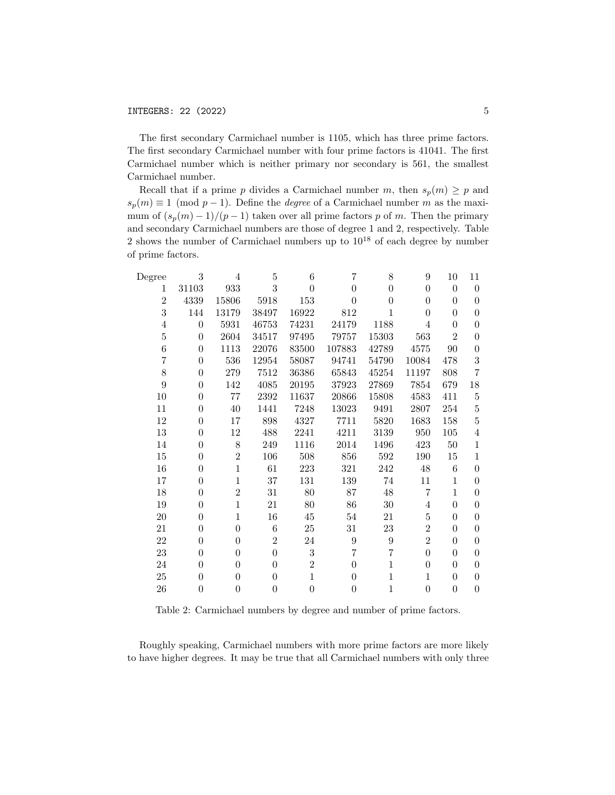The first secondary Carmichael number is 1105, which has three prime factors. The first secondary Carmichael number with four prime factors is 41041. The first Carmichael number which is neither primary nor secondary is 561, the smallest Carmichael number.

Recall that if a prime p divides a Carmichael number m, then  $s_p(m) \geq p$  and  $s_p(m) \equiv 1 \pmod{p-1}$ . Define the *degree* of a Carmichael number m as the maximum of  $(s_p(m) - 1)/(p - 1)$  taken over all prime factors p of m. Then the primary and secondary Carmichael numbers are those of degree 1 and 2, respectively. Table 2 shows the number of Carmichael numbers up to  $10^{18}$  of each degree by number of prime factors.

| $_{\rm Degree}$ | 3              | 4              | 5              | 6                | 7        | 8           | 9              | 10             | 11               |
|-----------------|----------------|----------------|----------------|------------------|----------|-------------|----------------|----------------|------------------|
| 1               | 31103          | 933            | 3              | $\theta$         | $\theta$ | $\theta$    | $\theta$       | $\theta$       | $\overline{0}$   |
| $\overline{2}$  | 4339           | 15806          | 5918           | 153              | $\theta$ | $\theta$    | 0              | $\theta$       | $\theta$         |
| 3               | 144            | 13179          | 38497          | 16922            | 812      | 1           | $\Omega$       | $\theta$       | $\boldsymbol{0}$ |
| 4               | $\theta$       | 5931           | 46753          | 74231            | 24179    | 1188        | 4              | $\theta$       | $\theta$         |
| 5               | $\Omega$       | 2604           | 34517          | 97495            | 79757    | 15303       | 563            | $\overline{2}$ | $\overline{0}$   |
| 6               | $\theta$       | 1113           | 22076          | 83500            | 107883   | 42789       | 4575           | 90             | $\theta$         |
| 7               | $\theta$       | 536            | 12954          | 58087            | 94741    | 54790       | 10084          | 478            | 3                |
| 8               | $\theta$       | 279            | 7512           | 36386            | 65843    | 45254       | 11197          | 808            | $\overline{7}$   |
| 9               | $\overline{0}$ | 142            | 4085           | 20195            | 37923    | 27869       | 7854           | 679            | 18               |
| $10\,$          | $\theta$       | 77             | 2392           | 11637            | 20866    | 15808       | 4583           | 411            | $\overline{5}$   |
| 11              | $\overline{0}$ | $40\,$         | 1441           | 7248             | 13023    | 9491        | 2807           | 254            | $\bf 5$          |
| 12              | $\overline{0}$ | 17             | 898            | 4327             | 7711     | 5820        | 1683           | 158            | $\overline{5}$   |
| 13              | $\theta$       | 12             | 488            | 2241             | 4211     | 3139        | 950            | $105\,$        | $\overline{4}$   |
| 14              | $\overline{0}$ | 8              | 249            | 1116             | 2014     | 1496        | 423            | $50\,$         | $\mathbf{1}$     |
| 15              | $\overline{0}$ | $\overline{2}$ | 106            | 508              | 856      | 592         | 190            | 15             | $\mathbf{1}$     |
| 16              | $\theta$       | $\mathbf{1}$   | 61             | 223              | 321      | 242         | $48\,$         | 6              | $\overline{0}$   |
| 17              | $\theta$       | $\mathbf{1}$   | $37\,$         | 131              | 139      | 74          | 11             | $\mathbf{1}$   | $\theta$         |
| 18              | $\overline{0}$ | $\overline{2}$ | 31             | 80               | 87       | 48          | 7              | $\mathbf{1}$   | $\theta$         |
| 19              | $\theta$       | $\mathbf{1}$   | 21             | 80               | 86       | $30\,$      | 4              | $\theta$       | $\theta$         |
| 20              | $\overline{0}$ | $\mathbf{1}$   | 16             | 45               | 54       | 21          | $\bf 5$        | $\theta$       | $\theta$         |
| 21              | $\theta$       | $\overline{0}$ | 6              | $25\,$           | 31       | 23          | $\overline{2}$ | $\theta$       | $\theta$         |
| 22              | $\theta$       | $\overline{0}$ | $\overline{2}$ | 24               | 9        | 9           | $\overline{2}$ | $\theta$       | $\theta$         |
| 23              | $\overline{0}$ | $\overline{0}$ | $\overline{0}$ | $\boldsymbol{3}$ | 7        | 7           | $\theta$       | $\theta$       | $\theta$         |
| 24              | $\theta$       | $\theta$       | $\theta$       | $\overline{2}$   | $\theta$ | $\mathbf 1$ | $\theta$       | $\theta$       | $\overline{0}$   |
| 25              | $\overline{0}$ | $\overline{0}$ | $\overline{0}$ | $\mathbf{1}$     | $\theta$ | $\mathbf 1$ | 1              | $\theta$       | $\theta$         |
| 26              | $\theta$       | $\overline{0}$ | $\overline{0}$ | $\overline{0}$   | $\theta$ | $\mathbf 1$ | $\overline{0}$ | $\theta$       | $\theta$         |

Table 2: Carmichael numbers by degree and number of prime factors.

Roughly speaking, Carmichael numbers with more prime factors are more likely to have higher degrees. It may be true that all Carmichael numbers with only three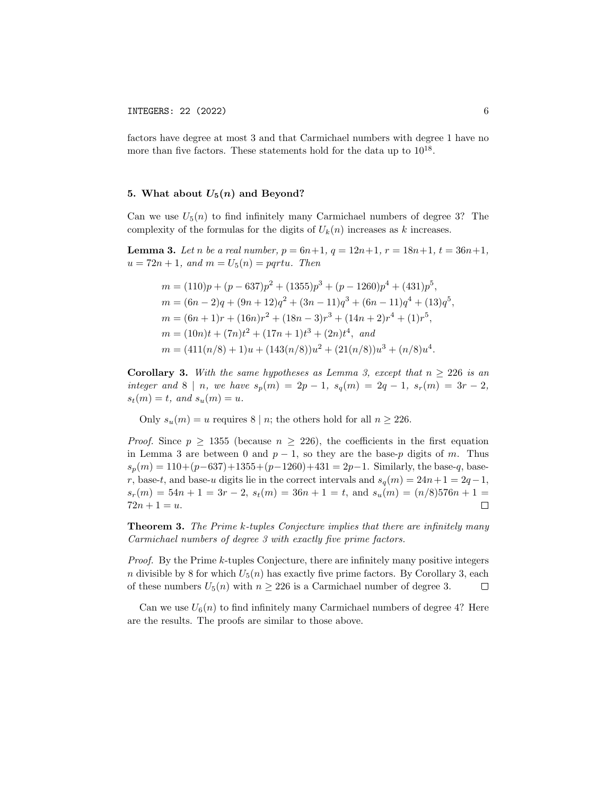factors have degree at most 3 and that Carmichael numbers with degree 1 have no more than five factors. These statements hold for the data up to  $10^{18}$ .

# 5. What about  $U_5(n)$  and Beyond?

Can we use  $U_5(n)$  to find infinitely many Carmichael numbers of degree 3? The complexity of the formulas for the digits of  $U_k(n)$  increases as k increases.

**Lemma 3.** Let n be a real number,  $p = 6n+1$ ,  $q = 12n+1$ ,  $r = 18n+1$ ,  $t = 36n+1$ ,  $u = 72n + 1$ , and  $m = U_5(n) = pqrt u$ . Then

$$
m = (110)p + (p - 637)p^{2} + (1355)p^{3} + (p - 1260)p^{4} + (431)p^{5},
$$
  
\n
$$
m = (6n - 2)q + (9n + 12)q^{2} + (3n - 11)q^{3} + (6n - 11)q^{4} + (13)q^{5},
$$
  
\n
$$
m = (6n + 1)r + (16n)r^{2} + (18n - 3)r^{3} + (14n + 2)r^{4} + (1)r^{5},
$$
  
\n
$$
m = (10n)t + (7n)t^{2} + (17n + 1)t^{3} + (2n)t^{4}, and
$$
  
\n
$$
m = (411(n/8) + 1)u + (143(n/8))u^{2} + (21(n/8))u^{3} + (n/8)u^{4}.
$$

**Corollary 3.** With the same hypotheses as Lemma 3, except that  $n \geq 226$  is an integer and 8 | n, we have  $s_p(m) = 2p - 1$ ,  $s_q(m) = 2q - 1$ ,  $s_r(m) = 3r - 2$ ,  $s_t(m) = t$ , and  $s_u(m) = u$ .

Only  $s_u(m) = u$  requires 8 | n; the others hold for all  $n \ge 226$ .

*Proof.* Since  $p \ge 1355$  (because  $n \ge 226$ ), the coefficients in the first equation in Lemma 3 are between 0 and  $p - 1$ , so they are the base-p digits of m. Thus  $s_p(m) = 110 + (p-637) + 1355 + (p-1260) + 431 = 2p-1$ . Similarly, the base-q, baser, base-t, and base-u digits lie in the correct intervals and  $s_q(m) = 24n + 1 = 2q - 1$ ,  $s_r(m) = 54n + 1 = 3r - 2$ ,  $s_t(m) = 36n + 1 = t$ , and  $s_u(m) = (n/8)576n + 1 =$  $72n + 1 = u.$  $\Box$ 

**Theorem 3.** The Prime k-tuples Conjecture implies that there are infinitely many Carmichael numbers of degree 3 with exactly five prime factors.

Proof. By the Prime k-tuples Conjecture, there are infinitely many positive integers n divisible by 8 for which  $U_5(n)$  has exactly five prime factors. By Corollary 3, each of these numbers  $U_5(n)$  with  $n \geq 226$  is a Carmichael number of degree 3.  $\Box$ 

Can we use  $U_6(n)$  to find infinitely many Carmichael numbers of degree 4? Here are the results. The proofs are similar to those above.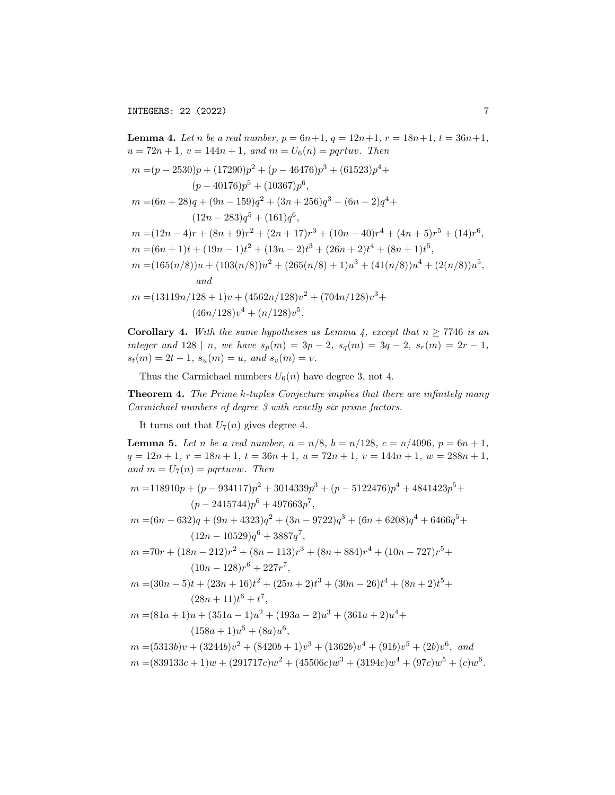**Lemma 4.** Let n be a real number,  $p = 6n+1$ ,  $q = 12n+1$ ,  $r = 18n+1$ ,  $t = 36n+1$ ,  $u = 72n + 1$ ,  $v = 144n + 1$ , and  $m = U_6(n) = pqrtuv$ . Then  $m = (p - 2530)p + (17290)p^2 + (p - 46476)p^3 + (61523)p^4 +$  $(p-40176)p^{5} + (10367)p^{6}$ ,  $m = (6n + 28)q + (9n - 159)q^{2} + (3n + 256)q^{3} + (6n - 2)q^{4} +$  $(12n - 283)q^{5} + (161)q^{6}$ ,  $m = (12n - 4)r + (8n + 9)r^2 + (2n + 17)r^3 + (10n - 40)r^4 + (4n + 5)r^5 + (14)r^6,$  $m = (6n + 1)t + (19n - 1)t^{2} + (13n - 2)t^{3} + (26n + 2)t^{4} + (8n + 1)t^{5}$  $m = (165(n/8))u + (103(n/8))u^2 + (265(n/8) + 1)u^3 + (41(n/8))u^4 + (2(n/8))u^5$ and  $m = (13119n/128 + 1)v + (4562n/128)v^2 + (704n/128)v^3 +$  $(46n/128)v^{4} + (n/128)v^{5}$ .

**Corollary 4.** With the same hypotheses as Lemma 4, except that  $n \ge 7746$  is an integer and 128 | n, we have  $s_p(m) = 3p - 2$ ,  $s_q(m) = 3q - 2$ ,  $s_r(m) = 2r - 1$ ,  $s_t(m) = 2t - 1$ ,  $s_u(m) = u$ , and  $s_v(m) = v$ .

Thus the Carmichael numbers  $U_6(n)$  have degree 3, not 4.

**Theorem 4.** The Prime k-tuples Conjecture implies that there are infinitely many Carmichael numbers of degree 3 with exactly six prime factors.

It turns out that  $U_7(n)$  gives degree 4.

**Lemma 5.** Let n be a real number,  $a = n/8$ ,  $b = n/128$ ,  $c = n/4096$ ,  $p = 6n + 1$ ,  $q = 12n + 1, r = 18n + 1, t = 36n + 1, u = 72n + 1, v = 144n + 1, w = 288n + 1,$ and  $m = U_7(n) = pqrtuvw.$  Then

$$
m = 118910p + (p - 934117)p^{2} + 3014339p^{3} + (p - 5122476)p^{4} + 4841423p^{5} + (p - 2415744)p^{6} + 497663p^{7},
$$
\n
$$
(q - 299) + (q - 1939) + (q - 2732) + (q - 2732) + (q - 2732) + (q - 2732) + (q - 2732) + (q - 2732) + (q - 2732) + (q - 2732) + (q - 2732) + (q - 2732) + (q - 2732) + (q - 2732) + (q - 2732) + (q - 2732) + (q - 2732) + (q - 2732) + (q - 2732) + (q - 2732) + (q - 2732) + (q - 2732) + (q - 2732) + (q - 2732) + (q - 2732) + (q - 2732) + (q - 2732) + (q - 2732) + (q - 2732) + (q - 2732) + (q - 2732) + (q - 2732) + (q - 2732) + (q - 2732) + (q - 2732) + (q - 2732) + (q - 2732) + (q - 2732) + (q - 2732) + (q - 2732) + (q - 2732) + (q - 2732) + (q - 2732) + (q - 2732) + (q - 2732) + (q - 2732) + (q - 2732) + (q - 2732) + (q - 2732) + (q - 2732) + (q - 2732) + (q - 2732) + (q - 2732) + (q - 2732) + (q - 2732) + (q - 2732) + (q - 2732) + (q - 2732) + (q - 2732) + (q - 2732) + (q - 2732) + (q - 2732) + (q - 2732) + (q - 2732) + (q - 2732) + (q - 27
$$

 $m = (6n - 632)q + (9n + 4323)q^{2} + (3n - 9722)q^{3} + (6n + 6208)q^{4} + 6466q^{5} +$  $(12n - 10529)q^{6} + 3887q^{7},$ 

$$
m = 70r + (18n - 212)r^{2} + (8n - 113)r^{3} + (8n + 884)r^{4} + (10n - 727)r^{5} + (10n - 128)r^{6} + 227r^{7},
$$

$$
m = (30n - 5)t + (23n + 16)t2 + (25n + 2)t3 + (30n - 26)t4 + (8n + 2)t5 + (28n + 11)t6 + t7,
$$

 $m = (81a + 1)u + (351a - 1)u^{2} + (193a - 2)u^{3} + (361a + 2)u^{4} +$  $(158a+1)u^5 + (8a)u^6$ ,

 $m = (5313b)v + (3244b)v^2 + (8420b + 1)v^3 + (1362b)v^4 + (91b)v^5 + (2b)v^6$ , and

 $m = (839133c + 1)w + (291717c)w^{2} + (45506c)w^{3} + (3194c)w^{4} + (97c)w^{5} + (c)w^{6}.$